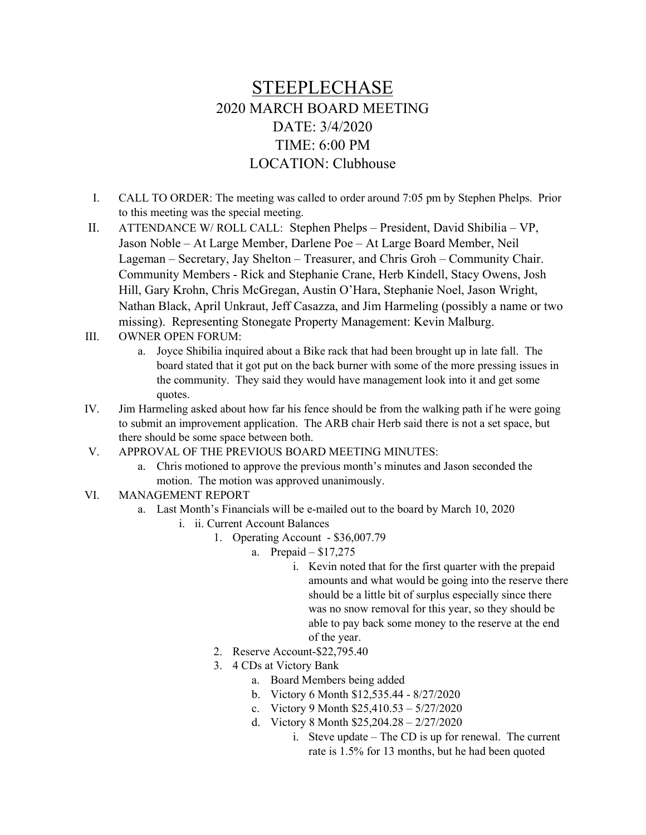## STEEPLECHASE 2020 MARCH BOARD MEETING DATE: 3/4/2020 TIME: 6:00 PM LOCATION: Clubhouse

- I. CALL TO ORDER: The meeting was called to order around 7:05 pm by Stephen Phelps. Prior to this meeting was the special meeting.
- II. ATTENDANCE W/ ROLL CALL: Stephen Phelps President, David Shibilia VP, Jason Noble – At Large Member, Darlene Poe – At Large Board Member, Neil Lageman – Secretary, Jay Shelton – Treasurer, and Chris Groh – Community Chair. Community Members - Rick and Stephanie Crane, Herb Kindell, Stacy Owens, Josh Hill, Gary Krohn, Chris McGregan, Austin O'Hara, Stephanie Noel, Jason Wright, Nathan Black, April Unkraut, Jeff Casazza, and Jim Harmeling (possibly a name or two missing). Representing Stonegate Property Management: Kevin Malburg.
- III. OWNER OPEN FORUM:
	- a. Joyce Shibilia inquired about a Bike rack that had been brought up in late fall. The board stated that it got put on the back burner with some of the more pressing issues in the community. They said they would have management look into it and get some quotes.
- IV. Jim Harmeling asked about how far his fence should be from the walking path if he were going to submit an improvement application. The ARB chair Herb said there is not a set space, but there should be some space between both.
- V. APPROVAL OF THE PREVIOUS BOARD MEETING MINUTES:
	- a. Chris motioned to approve the previous month's minutes and Jason seconded the motion. The motion was approved unanimously.
- VI. MANAGEMENT REPORT
	- a. Last Month's Financials will be e-mailed out to the board by March 10, 2020
		- i. ii. Current Account Balances
			- 1. Operating Account \$36,007.79
				- a. Prepaid \$17,275
					- i. Kevin noted that for the first quarter with the prepaid amounts and what would be going into the reserve there should be a little bit of surplus especially since there was no snow removal for this year, so they should be able to pay back some money to the reserve at the end of the year.
			- 2. Reserve Account-\$22,795.40
			- 3. 4 CDs at Victory Bank
				- a. Board Members being added
				- b. Victory 6 Month \$12,535.44 8/27/2020
				- c. Victory 9 Month \$25,410.53 5/27/2020
				- d. Victory 8 Month \$25,204.28 2/27/2020
					- i. Steve update The CD is up for renewal. The current rate is 1.5% for 13 months, but he had been quoted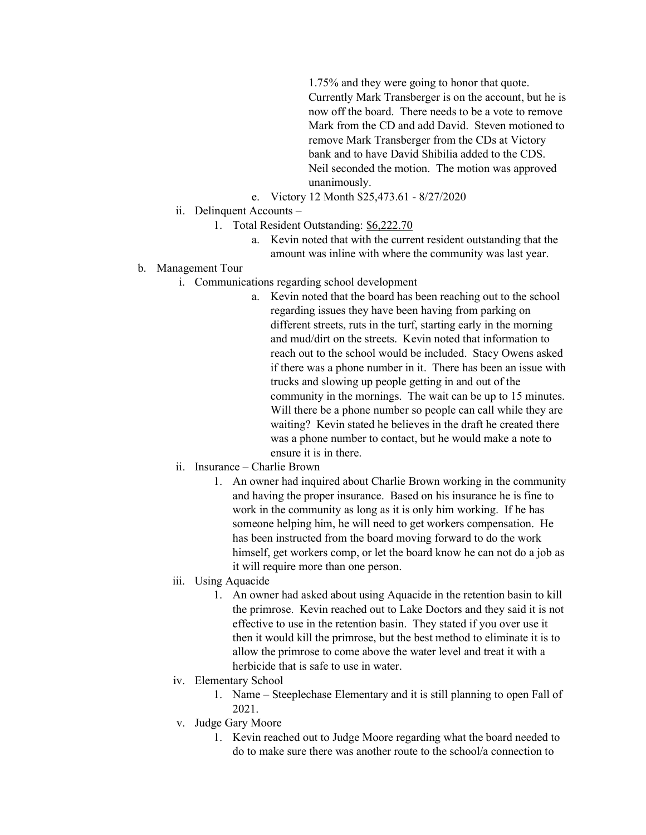1.75% and they were going to honor that quote. Currently Mark Transberger is on the account, but he is now off the board. There needs to be a vote to remove Mark from the CD and add David. Steven motioned to remove Mark Transberger from the CDs at Victory bank and to have David Shibilia added to the CDS. Neil seconded the motion. The motion was approved unanimously.

- e. Victory 12 Month \$25,473.61 8/27/2020
- ii. Delinquent Accounts
	- 1. Total Resident Outstanding: \$6,222.70
		- a. Kevin noted that with the current resident outstanding that the amount was inline with where the community was last year.

## b. Management Tour

- i. Communications regarding school development
	- a. Kevin noted that the board has been reaching out to the school regarding issues they have been having from parking on different streets, ruts in the turf, starting early in the morning and mud/dirt on the streets. Kevin noted that information to reach out to the school would be included. Stacy Owens asked if there was a phone number in it. There has been an issue with trucks and slowing up people getting in and out of the community in the mornings. The wait can be up to 15 minutes. Will there be a phone number so people can call while they are waiting? Kevin stated he believes in the draft he created there was a phone number to contact, but he would make a note to ensure it is in there.
- ii. Insurance Charlie Brown
	- 1. An owner had inquired about Charlie Brown working in the community and having the proper insurance. Based on his insurance he is fine to work in the community as long as it is only him working. If he has someone helping him, he will need to get workers compensation. He has been instructed from the board moving forward to do the work himself, get workers comp, or let the board know he can not do a job as it will require more than one person.
- iii. Using Aquacide
	- 1. An owner had asked about using Aquacide in the retention basin to kill the primrose. Kevin reached out to Lake Doctors and they said it is not effective to use in the retention basin. They stated if you over use it then it would kill the primrose, but the best method to eliminate it is to allow the primrose to come above the water level and treat it with a herbicide that is safe to use in water.
- iv. Elementary School
	- 1. Name Steeplechase Elementary and it is still planning to open Fall of 2021.
- v. Judge Gary Moore
	- 1. Kevin reached out to Judge Moore regarding what the board needed to do to make sure there was another route to the school/a connection to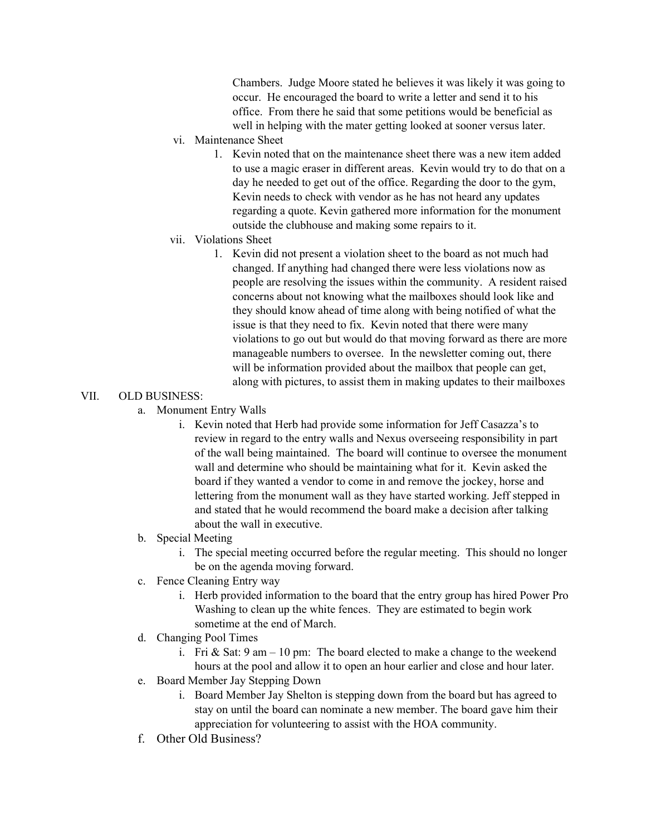Chambers. Judge Moore stated he believes it was likely it was going to occur. He encouraged the board to write a letter and send it to his office. From there he said that some petitions would be beneficial as well in helping with the mater getting looked at sooner versus later.

- vi. Maintenance Sheet
	- 1. Kevin noted that on the maintenance sheet there was a new item added to use a magic eraser in different areas. Kevin would try to do that on a day he needed to get out of the office. Regarding the door to the gym, Kevin needs to check with vendor as he has not heard any updates regarding a quote. Kevin gathered more information for the monument outside the clubhouse and making some repairs to it.
- vii. Violations Sheet
	- 1. Kevin did not present a violation sheet to the board as not much had changed. If anything had changed there were less violations now as people are resolving the issues within the community. A resident raised concerns about not knowing what the mailboxes should look like and they should know ahead of time along with being notified of what the issue is that they need to fix. Kevin noted that there were many violations to go out but would do that moving forward as there are more manageable numbers to oversee. In the newsletter coming out, there will be information provided about the mailbox that people can get, along with pictures, to assist them in making updates to their mailboxes

## VII. OLD BUSINESS:

- a. Monument Entry Walls
	- i. Kevin noted that Herb had provide some information for Jeff Casazza's to review in regard to the entry walls and Nexus overseeing responsibility in part of the wall being maintained. The board will continue to oversee the monument wall and determine who should be maintaining what for it. Kevin asked the board if they wanted a vendor to come in and remove the jockey, horse and lettering from the monument wall as they have started working. Jeff stepped in and stated that he would recommend the board make a decision after talking about the wall in executive.
- b. Special Meeting
	- i. The special meeting occurred before the regular meeting. This should no longer be on the agenda moving forward.
- c. Fence Cleaning Entry way
	- i. Herb provided information to the board that the entry group has hired Power Pro Washing to clean up the white fences. They are estimated to begin work sometime at the end of March.
- d. Changing Pool Times
	- i. Fri & Sat:  $9 \text{ am} 10 \text{ pm}$ : The board elected to make a change to the weekend hours at the pool and allow it to open an hour earlier and close and hour later.
- e. Board Member Jay Stepping Down
	- i. Board Member Jay Shelton is stepping down from the board but has agreed to stay on until the board can nominate a new member. The board gave him their appreciation for volunteering to assist with the HOA community.
- f. Other Old Business?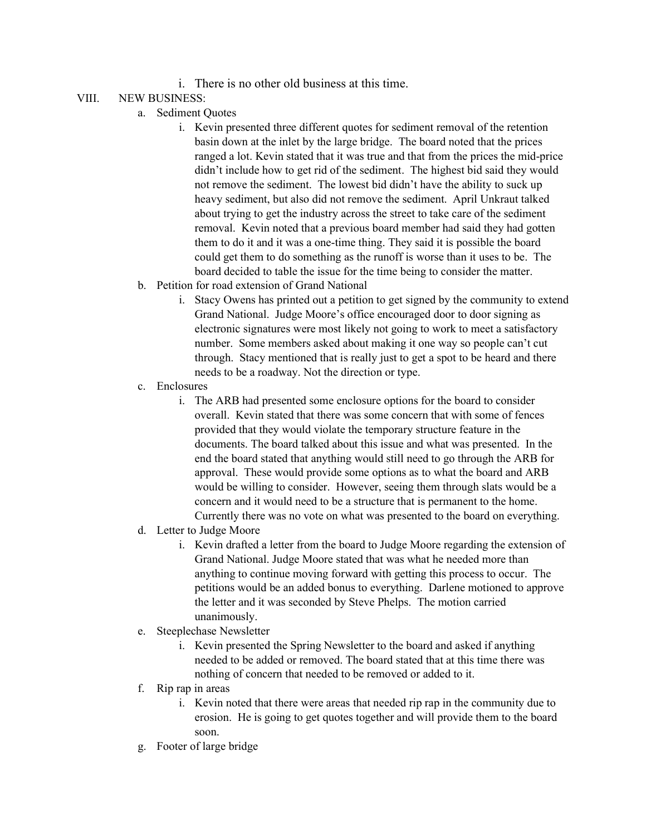i. There is no other old business at this time.

## VIII. NEW BUSINESS:

- a. Sediment Quotes
	- i. Kevin presented three different quotes for sediment removal of the retention basin down at the inlet by the large bridge. The board noted that the prices ranged a lot. Kevin stated that it was true and that from the prices the mid-price didn't include how to get rid of the sediment. The highest bid said they would not remove the sediment. The lowest bid didn't have the ability to suck up heavy sediment, but also did not remove the sediment. April Unkraut talked about trying to get the industry across the street to take care of the sediment removal. Kevin noted that a previous board member had said they had gotten them to do it and it was a one-time thing. They said it is possible the board could get them to do something as the runoff is worse than it uses to be. The board decided to table the issue for the time being to consider the matter.
- b. Petition for road extension of Grand National
	- i. Stacy Owens has printed out a petition to get signed by the community to extend Grand National. Judge Moore's office encouraged door to door signing as electronic signatures were most likely not going to work to meet a satisfactory number. Some members asked about making it one way so people can't cut through. Stacy mentioned that is really just to get a spot to be heard and there needs to be a roadway. Not the direction or type.
- c. Enclosures
	- i. The ARB had presented some enclosure options for the board to consider overall. Kevin stated that there was some concern that with some of fences provided that they would violate the temporary structure feature in the documents. The board talked about this issue and what was presented. In the end the board stated that anything would still need to go through the ARB for approval. These would provide some options as to what the board and ARB would be willing to consider. However, seeing them through slats would be a concern and it would need to be a structure that is permanent to the home. Currently there was no vote on what was presented to the board on everything.
- d. Letter to Judge Moore
	- i. Kevin drafted a letter from the board to Judge Moore regarding the extension of Grand National. Judge Moore stated that was what he needed more than anything to continue moving forward with getting this process to occur. The petitions would be an added bonus to everything. Darlene motioned to approve the letter and it was seconded by Steve Phelps. The motion carried unanimously.
- e. Steeplechase Newsletter
	- i. Kevin presented the Spring Newsletter to the board and asked if anything needed to be added or removed. The board stated that at this time there was nothing of concern that needed to be removed or added to it.
- f. Rip rap in areas
	- i. Kevin noted that there were areas that needed rip rap in the community due to erosion. He is going to get quotes together and will provide them to the board soon.
- g. Footer of large bridge